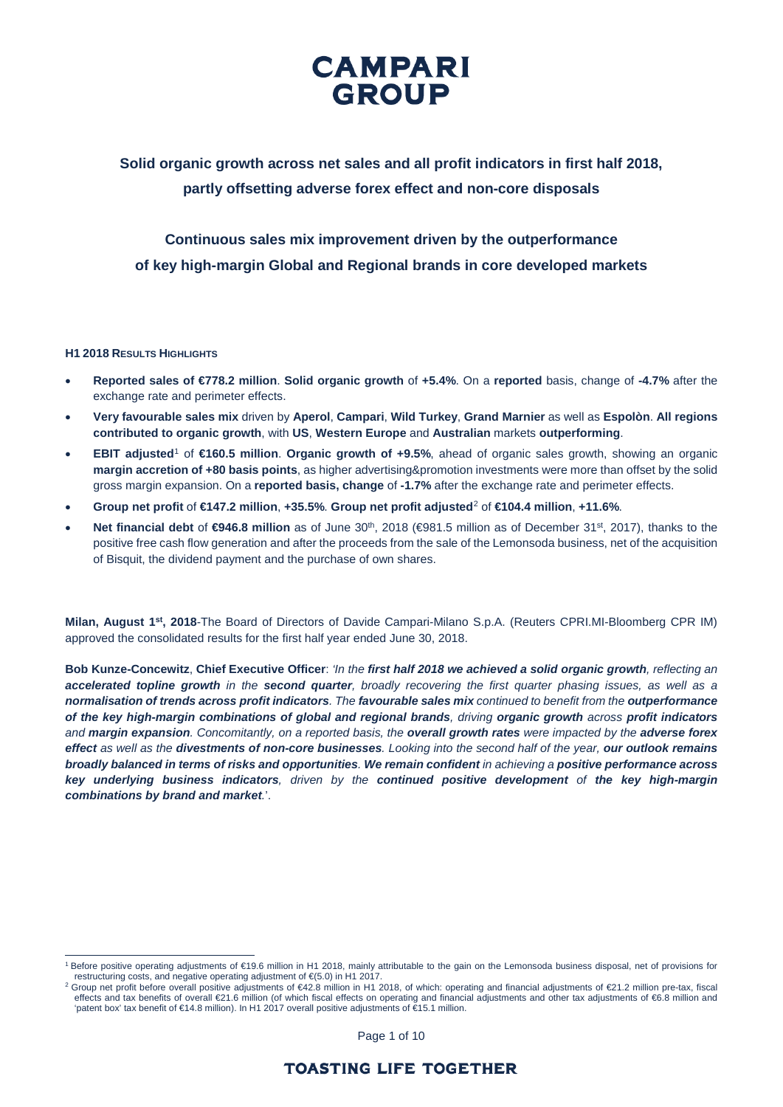

## **Solid organic growth across net sales and all profit indicators in first half 2018, partly offsetting adverse forex effect and non-core disposals**

## **Continuous sales mix improvement driven by the outperformance of key high-margin Global and Regional brands in core developed markets**

#### **H1 2018 RESULTS HIGHLIGHTS**

- **Reported sales of €778.2 million**. **Solid organic growth** of **+5.4%**. On a **reported** basis, change of **-4.7%** after the exchange rate and perimeter effects.
- **Very favourable sales mix** driven by **Aperol**, **Campari**, **Wild Turkey**, **Grand Marnier** as well as **Espolòn**. **All regions contributed to organic growth**, with **US**, **Western Europe** and **Australian** markets **outperforming**.
- **EBIT adjusted**[1](#page-0-0) of **€160.5 million**. **Organic growth of +9.5%**, ahead of organic sales growth, showing an organic **margin accretion of +80 basis points**, as higher advertising&promotion investments were more than offset by the solid gross margin expansion. On a **reported basis, change** of **-1.7%** after the exchange rate and perimeter effects.
- **Group net profit** of **€147.2 million**, **+35.5%**. **Group net profit adjusted**[2](#page-0-1) of **€104.4 million**, **+11.6%**.
- **Net financial debt** of **€946.8 million** as of June 30th, 2018 (€981.5 million as of December 31st, 2017), thanks to the positive free cash flow generation and after the proceeds from the sale of the Lemonsoda business, net of the acquisition of Bisquit, the dividend payment and the purchase of own shares.

**Milan, August 1st, 2018**-The Board of Directors of Davide Campari-Milano S.p.A. (Reuters CPRI.MI-Bloomberg CPR IM) approved the consolidated results for the first half year ended June 30, 2018.

**Bob Kunze-Concewitz**, **Chief Executive Officer**: *'In the first half 2018 we achieved a solid organic growth, reflecting an accelerated topline growth in the second quarter, broadly recovering the first quarter phasing issues, as well as a normalisation of trends across profit indicators. The favourable sales mix continued to benefit from the outperformance of the key high-margin combinations of global and regional brands, driving organic growth across profit indicators and margin expansion. Concomitantly, on a reported basis, the overall growth rates were impacted by the adverse forex effect as well as the divestments of non-core businesses. Looking into the second half of the year, our outlook remains broadly balanced in terms of risks and opportunities. We remain confident in achieving a positive performance across key underlying business indicators, driven by the continued positive development of the key high-margin combinations by brand and market.*'.

Page 1 of 10

<span id="page-0-0"></span><sup>1</sup> Before positive operating adjustments of €19.6 million in H1 2018, mainly attributable to the gain on the Lemonsoda business disposal, net of provisions for restructuring costs, and negative operating adjustment of €(5.

<span id="page-0-1"></span>Group net profit before overall positive adjustments of €42.8 million in H1 2018, of which: operating and financial adjustments of €21.2 million pre-tax, fiscal effects and tax benefits of overall €21.6 million (of which fiscal effects on operating and financial adjustments and other tax adjustments of €6.8 million and 'patent box' tax benefit of €14.8 million). In H1 2017 overall positive adjustments of €15.1 million.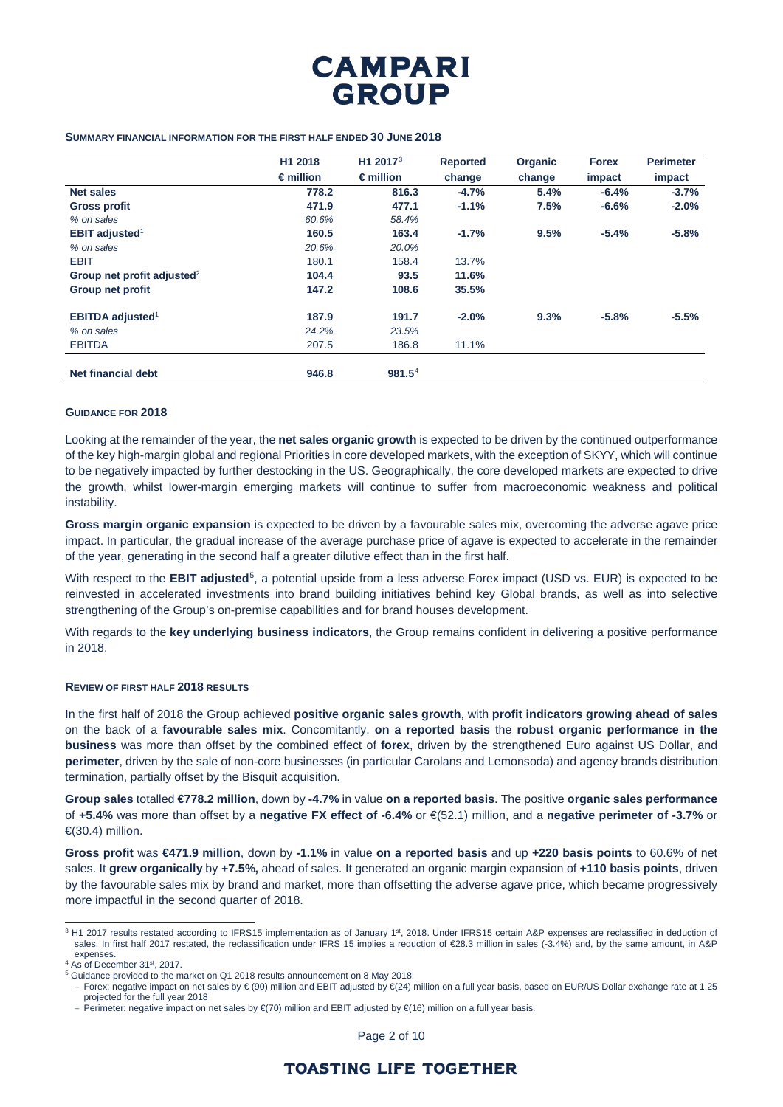

#### **SUMMARY FINANCIAL INFORMATION FOR THE FIRST HALF ENDED 30 JUNE 2018**

|                                        | H1 2018            | H1 2017 $3$        | <b>Reported</b> | Organic | <b>Forex</b> | <b>Perimeter</b> |
|----------------------------------------|--------------------|--------------------|-----------------|---------|--------------|------------------|
|                                        | $\epsilon$ million | $\epsilon$ million | change          | change  | impact       | impact           |
| <b>Net sales</b>                       | 778.2              | 816.3              | $-4.7%$         | 5.4%    | $-6.4%$      | $-3.7%$          |
| <b>Gross profit</b>                    | 471.9              | 477.1              | $-1.1%$         | 7.5%    | $-6.6%$      | $-2.0%$          |
| % on sales                             | 60.6%              | 58.4%              |                 |         |              |                  |
| <b>EBIT adjusted</b> <sup>1</sup>      | 160.5              | 163.4              | $-1.7%$         | 9.5%    | $-5.4%$      | $-5.8%$          |
| % on sales                             | 20.6%              | 20.0%              |                 |         |              |                  |
| <b>EBIT</b>                            | 180.1              | 158.4              | 13.7%           |         |              |                  |
| Group net profit adjusted <sup>2</sup> | 104.4              | 93.5               | 11.6%           |         |              |                  |
| Group net profit                       | 147.2              | 108.6              | 35.5%           |         |              |                  |
| <b>EBITDA</b> adjusted <sup>1</sup>    | 187.9              | 191.7              | $-2.0%$         | 9.3%    | $-5.8%$      | $-5.5%$          |
| % on sales                             | 24.2%              | 23.5%              |                 |         |              |                  |
| <b>EBITDA</b>                          | 207.5              | 186.8              | 11.1%           |         |              |                  |
| Net financial debt                     | 946.8              | $981.5^4$          |                 |         |              |                  |

#### **GUIDANCE FOR 2018**

Looking at the remainder of the year, the **net sales organic growth** is expected to be driven by the continued outperformance of the key high-margin global and regional Priorities in core developed markets, with the exception of SKYY, which will continue to be negatively impacted by further destocking in the US. Geographically, the core developed markets are expected to drive the growth, whilst lower-margin emerging markets will continue to suffer from macroeconomic weakness and political instability.

**Gross margin organic expansion** is expected to be driven by a favourable sales mix, overcoming the adverse agave price impact. In particular, the gradual increase of the average purchase price of agave is expected to accelerate in the remainder of the year, generating in the second half a greater dilutive effect than in the first half.

With respect to the **EBIT adjusted**[5](#page-1-2), a potential upside from a less adverse Forex impact (USD vs. EUR) is expected to be reinvested in accelerated investments into brand building initiatives behind key Global brands, as well as into selective strengthening of the Group's on-premise capabilities and for brand houses development.

With regards to the **key underlying business indicators**, the Group remains confident in delivering a positive performance in 2018.

#### **REVIEW OF FIRST HALF 2018 RESULTS**

In the first half of 2018 the Group achieved **positive organic sales growth**, with **profit indicators growing ahead of sales** on the back of a **favourable sales mix**. Concomitantly, **on a reported basis** the **robust organic performance in the business** was more than offset by the combined effect of **forex**, driven by the strengthened Euro against US Dollar, and **perimeter**, driven by the sale of non-core businesses (in particular Carolans and Lemonsoda) and agency brands distribution termination, partially offset by the Bisquit acquisition.

**Group sales** totalled **€778.2 million**, down by **-4.7%** in value **on a reported basis**. The positive **organic sales performance**  of **+5.4%** was more than offset by a **negative FX effect of -6.4%** or €(52.1) million, and a **negative perimeter of -3.7%** or €(30.4) million.

**Gross profit** was **€471.9 million**, down by **-1.1%** in value **on a reported basis** and up **+220 basis points** to 60.6% of net sales. It **grew organically** by +**7.5%,** ahead of sales. It generated an organic margin expansion of **+110 basis points**, driven by the favourable sales mix by brand and market, more than offsetting the adverse agave price, which became progressively more impactful in the second quarter of 2018.

Page 2 of 10

<span id="page-1-0"></span><sup>&</sup>lt;sup>3</sup> H1 2017 results restated according to IFRS15 implementation as of January 1<sup>st</sup>, 2018. Under IFRS15 certain A&P expenses are reclassified in deduction of sales. In first half 2017 restated, the reclassification under IFRS 15 implies a reduction of €28.3 million in sales (-3.4%) and, by the same amount, in A&P expenses

<span id="page-1-1"></span>As of December 31st, 2017.

<span id="page-1-2"></span> $5$  Guidance provided to the market on Q1 2018 results announcement on 8 May 2018:

<sup>−</sup> Forex: negative impact on net sales by € (90) million and EBIT adjusted by €(24) million on a full year basis, based on EUR/US Dollar exchange rate at 1.25 projected for the full year 2018

<sup>−</sup> Perimeter: negative impact on net sales by €(70) million and EBIT adjusted by €(16) million on a full year basis.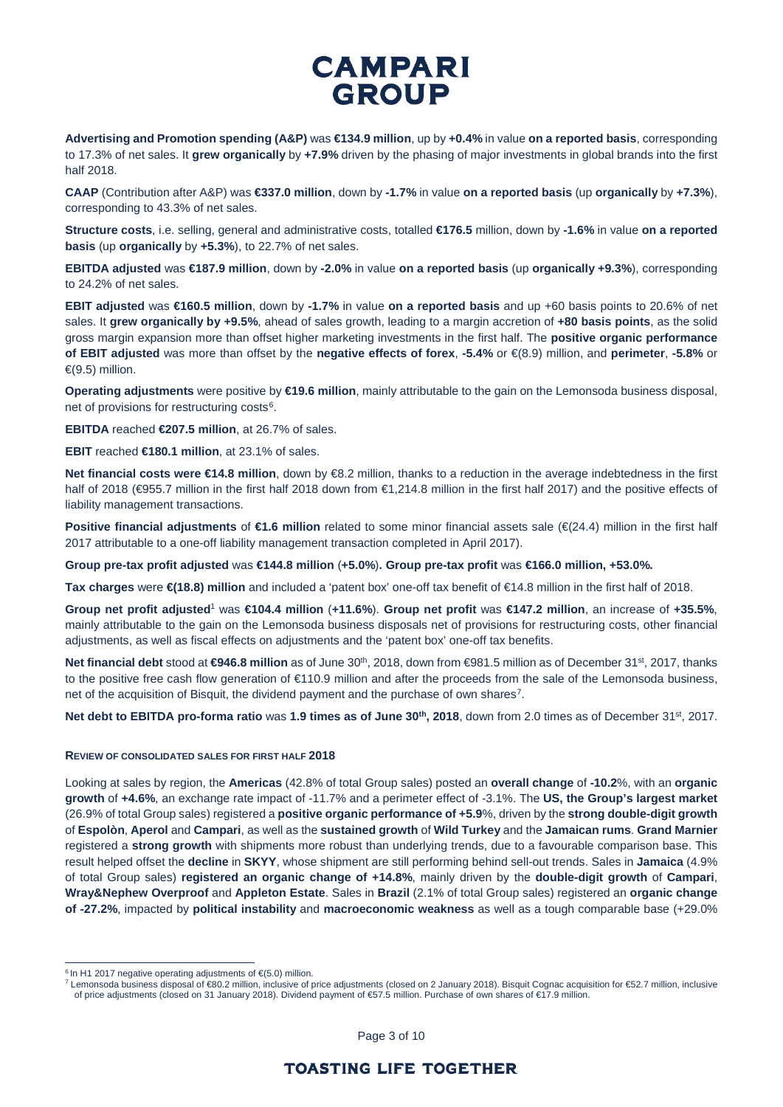**Advertising and Promotion spending (A&P)** was **€134.9 million**, up by **+0.4%** in value **on a reported basis**, corresponding to 17.3% of net sales. It **grew organically** by **+7.9%** driven by the phasing of major investments in global brands into the first half 2018.

**CAAP** (Contribution after A&P) was **€337.0 million**, down by **-1.7%** in value **on a reported basis** (up **organically** by **+7.3%**), corresponding to 43.3% of net sales.

**Structure costs**, i.e. selling, general and administrative costs, totalled **€176.5** million, down by **-1.6%** in value **on a reported basis** (up **organically** by **+5.3%**), to 22.7% of net sales.

**EBITDA adjusted** was **€187.9 million**, down by **-2.0%** in value **on a reported basis** (up **organically +9.3%**), corresponding to 24.2% of net sales.

**EBIT adjusted** was **€160.5 million**, down by **-1.7%** in value **on a reported basis** and up +60 basis points to 20.6% of net sales. It **grew organically by +9.5%**, ahead of sales growth, leading to a margin accretion of **+80 basis points**, as the solid gross margin expansion more than offset higher marketing investments in the first half. The **positive organic performance of EBIT adjusted** was more than offset by the **negative effects of forex**, **-5.4%** or €(8.9) million, and **perimeter**, **-5.8%** or  $\in (9.5)$  million.

**Operating adjustments** were positive by **€19.6 million**, mainly attributable to the gain on the Lemonsoda business disposal, net of provisions for restructuring costs<sup>[6](#page-2-0)</sup>.

**EBITDA** reached **€207.5 million**, at 26.7% of sales.

**EBIT** reached **€180.1 million**, at 23.1% of sales.

**Net financial costs were €14.8 million**, down by €8.2 million, thanks to a reduction in the average indebtedness in the first half of 2018 (€955.7 million in the first half 2018 down from €1,214.8 million in the first half 2017) and the positive effects of liability management transactions.

**Positive financial adjustments** of €1.6 million related to some minor financial assets sale (€(24.4) million in the first half 2017 attributable to a one-off liability management transaction completed in April 2017).

**Group pre-tax profit adjusted** was **€144.8 million** (**+5.0%**)**. Group pre-tax profit** was **€166.0 million, +53.0%.**

**Tax charges** were **€(18.8) million** and included a 'patent box' one-off tax benefit of €14.8 million in the first half of 2018.

**Group net profit adjusted**<sup>1</sup> was **€104.4 million** (**+11.6%**). **Group net profit** was **€147.2 million**, an increase of **+35.5%**, mainly attributable to the gain on the Lemonsoda business disposals net of provisions for restructuring costs, other financial adjustments, as well as fiscal effects on adjustments and the 'patent box' one-off tax benefits.

**Net financial debt** stood at **€946.8 million** as of June 30<sup>th</sup>, 2018, down from €981.5 million as of December 31<sup>st</sup>, 2017, thanks to the positive free cash flow generation of €110.9 million and after the proceeds from the sale of the Lemonsoda business, net of the acquisition of Bisquit, the dividend payment and the purchase of own shares[7.](#page-2-1)

**Net debt to EBITDA pro-forma ratio** was **1.9 times as of June 30th, 2018**, down from 2.0 times as of December 31st, 2017.

#### **REVIEW OF CONSOLIDATED SALES FOR FIRST HALF 2018**

Looking at sales by region, the **Americas** (42.8% of total Group sales) posted an **overall change** of **-10.2**%, with an **organic growth** of **+4.6%**, an exchange rate impact of -11.7% and a perimeter effect of -3.1%. The **US, the Group's largest market** (26.9% of total Group sales) registered a **positive organic performance of +5.9**%, driven by the **strong double-digit growth** of **Espolòn**, **Aperol** and **Campari**, as well as the **sustained growth** of **Wild Turkey** and the **Jamaican rums**. **Grand Marnier** registered a **strong growth** with shipments more robust than underlying trends, due to a favourable comparison base. This result helped offset the **decline** in **SKYY**, whose shipment are still performing behind sell-out trends. Sales in **Jamaica** (4.9% of total Group sales) **registered an organic change of +14.8%**, mainly driven by the **double-digit growth** of **Campari**, **Wray&Nephew Overproof** and **Appleton Estate**. Sales in **Brazil** (2.1% of total Group sales) registered an **organic change of -27.2%**, impacted by **political instability** and **macroeconomic weakness** as well as a tough comparable base (+29.0%

Page 3 of 10

<span id="page-2-1"></span><span id="page-2-0"></span> $6$  In H1 2017 negative operating adjustments of  $E(5.0)$  million.

<sup>7</sup> Lemonsoda business disposal of €80.2 million, inclusive of price adjustments (closed on 2 January 2018). Bisquit Cognac acquisition for €52.7 million, inclusive of price adjustments (closed on 31 January 2018). Dividend payment of €57.5 million. Purchase of own shares of €17.9 million.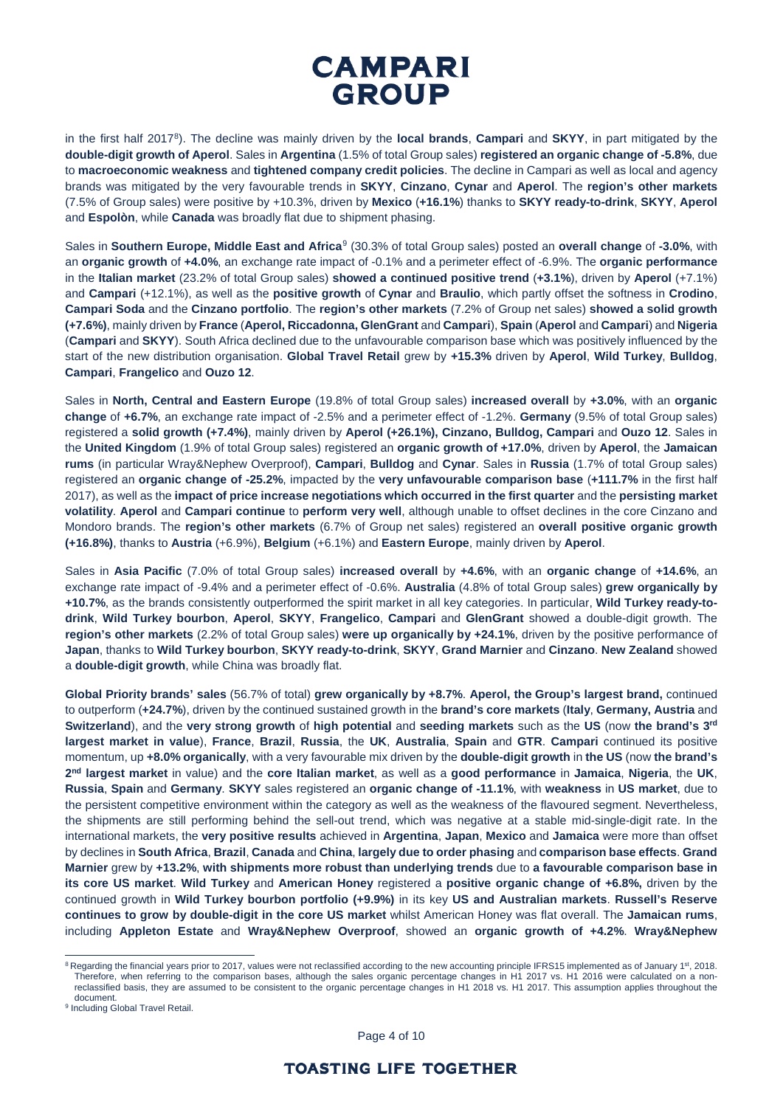in the first half 2017[8\)](#page-3-0). The decline was mainly driven by the **local brands**, **Campari** and **SKYY**, in part mitigated by the **double-digit growth of Aperol**. Sales in **Argentina** (1.5% of total Group sales) **registered an organic change of -5.8%**, due to **macroeconomic weakness** and **tightened company credit policies**. The decline in Campari as well as local and agency brands was mitigated by the very favourable trends in **SKYY**, **Cinzano**, **Cynar** and **Aperol**. The **region's other markets** (7.5% of Group sales) were positive by +10.3%, driven by **Mexico** (**+16.1%**) thanks to **SKYY ready-to-drink**, **SKYY**, **Aperol** and **Espolòn**, while **Canada** was broadly flat due to shipment phasing.

Sales in **Southern Europe, Middle East and Africa**[9](#page-3-1) (30.3% of total Group sales) posted an **overall change** of **-3.0%**, with an **organic growth** of **+4.0%**, an exchange rate impact of -0.1% and a perimeter effect of -6.9%. The **organic performance** in the **Italian market** (23.2% of total Group sales) **showed a continued positive trend** (**+3.1%**), driven by **Aperol** (+7.1%) and **Campari** (+12.1%), as well as the **positive growth** of **Cynar** and **Braulio**, which partly offset the softness in **Crodino**, **Campari Soda** and the **Cinzano portfolio**. The **region's other markets** (7.2% of Group net sales) **showed a solid growth (+7.6%)**, mainly driven by **France** (**Aperol, Riccadonna, GlenGrant** and **Campari**), **Spain** (**Aperol** and **Campari**) and **Nigeria** (**Campari** and **SKYY**). South Africa declined due to the unfavourable comparison base which was positively influenced by the start of the new distribution organisation. **Global Travel Retail** grew by **+15.3%** driven by **Aperol**, **Wild Turkey**, **Bulldog**, **Campari**, **Frangelico** and **Ouzo 12**.

Sales in **North, Central and Eastern Europe** (19.8% of total Group sales) **increased overall** by **+3.0%**, with an **organic change** of **+6.7%**, an exchange rate impact of -2.5% and a perimeter effect of -1.2%. **Germany** (9.5% of total Group sales) registered a **solid growth (+7.4%)**, mainly driven by **Aperol (+26.1%), Cinzano, Bulldog, Campari** and **Ouzo 12**. Sales in the **United Kingdom** (1.9% of total Group sales) registered an **organic growth of +17.0%**, driven by **Aperol**, the **Jamaican rums** (in particular Wray&Nephew Overproof), **Campari**, **Bulldog** and **Cynar**. Sales in **Russia** (1.7% of total Group sales) registered an **organic change of -25.2%**, impacted by the **very unfavourable comparison base** (**+111.7%** in the first half 2017), as well as the **impact of price increase negotiations which occurred in the first quarter** and the **persisting market volatility**. **Aperol** and **Campari continue** to **perform very well**, although unable to offset declines in the core Cinzano and Mondoro brands. The **region's other markets** (6.7% of Group net sales) registered an **overall positive organic growth (+16.8%)**, thanks to **Austria** (+6.9%), **Belgium** (+6.1%) and **Eastern Europe**, mainly driven by **Aperol**.

Sales in **Asia Pacific** (7.0% of total Group sales) **increased overall** by **+4.6%**, with an **organic change** of **+14.6%**, an exchange rate impact of -9.4% and a perimeter effect of -0.6%. **Australia** (4.8% of total Group sales) **grew organically by +10.7%**, as the brands consistently outperformed the spirit market in all key categories. In particular, **Wild Turkey ready-todrink**, **Wild Turkey bourbon**, **Aperol**, **SKYY**, **Frangelico**, **Campari** and **GlenGrant** showed a double-digit growth. The **region's other markets** (2.2% of total Group sales) **were up organically by +24.1%**, driven by the positive performance of **Japan**, thanks to **Wild Turkey bourbon**, **SKYY ready-to-drink**, **SKYY**, **Grand Marnier** and **Cinzano**. **New Zealand** showed a **double-digit growth**, while China was broadly flat.

**Global Priority brands' sales** (56.7% of total) **grew organically by +8.7%**. **Aperol, the Group's largest brand,** continued to outperform (**+24.7%**), driven by the continued sustained growth in the **brand's core markets** (**Italy**, **Germany, Austria** and **Switzerland**), and the **very strong growth** of **high potential** and **seeding markets** such as the **US** (now **the brand's 3rd largest market in value**), **France**, **Brazil**, **Russia**, the **UK**, **Australia**, **Spain** and **GTR**. **Campari** continued its positive momentum, up **+8.0% organically**, with a very favourable mix driven by the **double-digit growth** in **the US** (now **the brand's 2nd largest market** in value) and the **core Italian market**, as well as a **good performance** in **Jamaica**, **Nigeria**, the **UK**, **Russia**, **Spain** and **Germany**. **SKYY** sales registered an **organic change of -11.1%**, with **weakness** in **US market**, due to the persistent competitive environment within the category as well as the weakness of the flavoured segment. Nevertheless, the shipments are still performing behind the sell-out trend, which was negative at a stable mid-single-digit rate. In the international markets, the **very positive results** achieved in **Argentina**, **Japan**, **Mexico** and **Jamaica** were more than offset by declines in **South Africa**, **Brazil**, **Canada** and **China**, **largely due to order phasing** and **comparison base effects**. **Grand Marnier** grew by **+13.2%**, **with shipments more robust than underlying trends** due to **a favourable comparison base in its core US market**. **Wild Turkey** and **American Honey** registered a **positive organic change of +6.8%,** driven by the continued growth in **Wild Turkey bourbon portfolio (+9.9%)** in its key **US and Australian markets**. **Russell's Reserve continues to grow by double-digit in the core US market** whilst American Honey was flat overall. The **Jamaican rums**, including **Appleton Estate** and **Wray&Nephew Overproof**, showed an **organic growth of +4.2%**. **Wray&Nephew** 

Page 4 of 10

<span id="page-3-0"></span><sup>&</sup>lt;sup>8</sup> Regarding the financial years prior to 2017, values were not reclassified according to the new accounting principle IFRS15 implemented as of January 1<sup>st</sup>, 2018. Therefore, when referring to the comparison bases, although the sales organic percentage changes in H1 2017 vs. H1 2016 were calculated on a nonreclassified basis, they are assumed to be consistent to the organic percentage changes in H1 2018 vs. H1 2017. This assumption applies throughout the document.

<span id="page-3-1"></span><sup>&</sup>lt;sup>9</sup> Including Global Travel Retail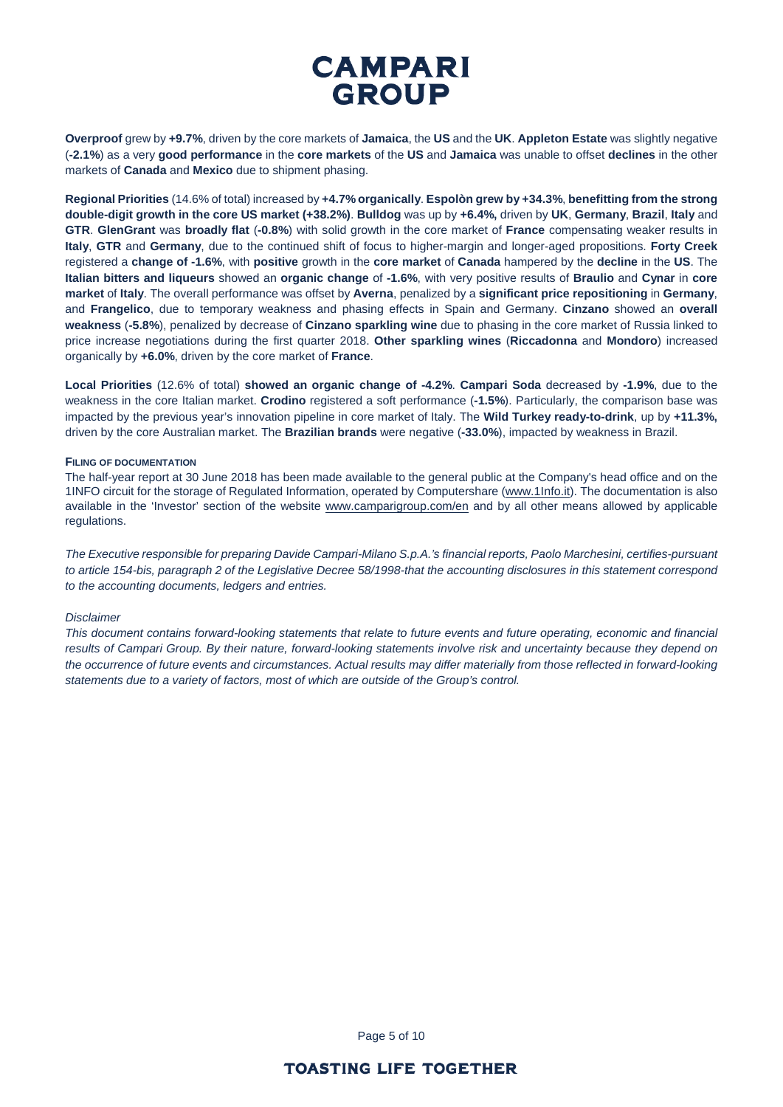**Overproof** grew by **+9.7%**, driven by the core markets of **Jamaica**, the **US** and the **UK**. **Appleton Estate** was slightly negative (**-2.1%**) as a very **good performance** in the **core markets** of the **US** and **Jamaica** was unable to offset **declines** in the other markets of **Canada** and **Mexico** due to shipment phasing.

**Regional Priorities** (14.6% of total) increased by **+4.7% organically**. **Espolòn grew by +34.3%**, **benefitting from the strong double-digit growth in the core US market (+38.2%)**. **Bulldog** was up by **+6.4%,** driven by **UK**, **Germany**, **Brazil**, **Italy** and **GTR**. **GlenGrant** was **broadly flat** (**-0.8%**) with solid growth in the core market of **France** compensating weaker results in **Italy**, **GTR** and **Germany**, due to the continued shift of focus to higher-margin and longer-aged propositions. **Forty Creek** registered a **change of -1.6%**, with **positive** growth in the **core market** of **Canada** hampered by the **decline** in the **US**. The **Italian bitters and liqueurs** showed an **organic change** of **-1.6%**, with very positive results of **Braulio** and **Cynar** in **core market** of **Italy**. The overall performance was offset by **Averna**, penalized by a **significant price repositioning** in **Germany**, and **Frangelico**, due to temporary weakness and phasing effects in Spain and Germany. **Cinzano** showed an **overall weakness** (**-5.8%**), penalized by decrease of **Cinzano sparkling wine** due to phasing in the core market of Russia linked to price increase negotiations during the first quarter 2018. **Other sparkling wines** (**Riccadonna** and **Mondoro**) increased organically by **+6.0%**, driven by the core market of **France**.

**Local Priorities** (12.6% of total) **showed an organic change of -4.2%**. **Campari Soda** decreased by **-1.9%**, due to the weakness in the core Italian market. **Crodino** registered a soft performance (**-1.5%**). Particularly, the comparison base was impacted by the previous year's innovation pipeline in core market of Italy. The **Wild Turkey ready-to-drink**, up by **+11.3%,** driven by the core Australian market. The **Brazilian brands** were negative (**-33.0%**), impacted by weakness in Brazil.

#### **FILING OF DOCUMENTATION**

The half-year report at 30 June 2018 has been made available to the general public at the Company's head office and on the 1INFO circuit for the storage of Regulated Information, operated by Computershare [\(www.1Info.it\)](http://www.1info.it/). The documentation is also available in the 'Investor' section of the website [www.camparigroup.com/en](http://www.camparigroup.com/en) and by all other means allowed by applicable regulations.

*The Executive responsible for preparing Davide Campari-Milano S.p.A.'s financial reports, Paolo Marchesini, certifies-pursuant to article 154-bis, paragraph 2 of the Legislative Decree 58/1998-that the accounting disclosures in this statement correspond to the accounting documents, ledgers and entries.* 

#### *Disclaimer*

*This document contains forward-looking statements that relate to future events and future operating, economic and financial results of Campari Group. By their nature, forward-looking statements involve risk and uncertainty because they depend on the occurrence of future events and circumstances. Actual results may differ materially from those reflected in forward-looking statements due to a variety of factors, most of which are outside of the Group's control.*

Page 5 of 10

### **TOASTING LIFE TOGETHER**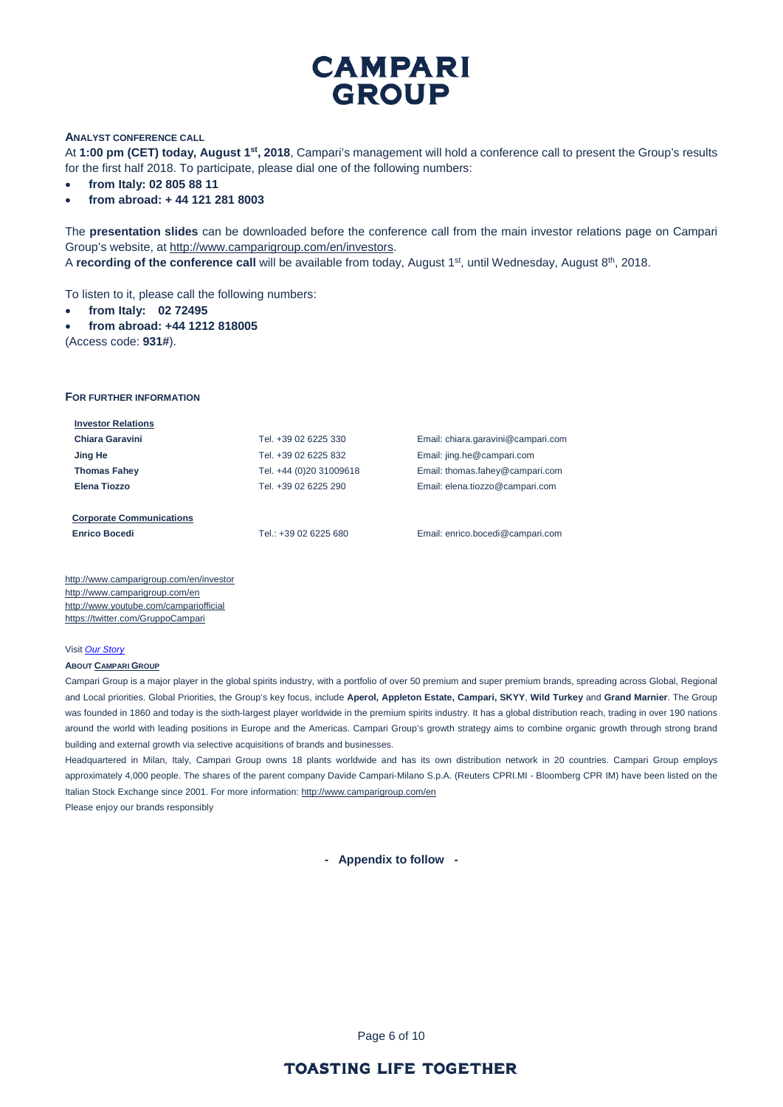#### **ANALYST CONFERENCE CALL**

At **1:00 pm (CET) today, August 1st, 2018**, Campari's management will hold a conference call to present the Group's results for the first half 2018. To participate, please dial one of the following numbers:

- **from Italy: 02 805 88 11**
- **from abroad: + 44 121 281 8003**

The **presentation slides** can be downloaded before the conference call from the main investor relations page on Campari Group's website, at [http://www.camparigroup.com/en/investors.](http://www.camparigroup.com/en/investors)

A **recording of the conference call** will be available from today, August 1<sup>st</sup>, until Wednesday, August 8<sup>th</sup>, 2018.

To listen to it, please call the following numbers:

- **from Italy: 02 72495**
- **from abroad: +44 1212 818005**

(Access code: **931#**).

#### **FOR FURTHER INFORMATION**

| <b>Investor Relations</b>       |                         |                                    |
|---------------------------------|-------------------------|------------------------------------|
| Chiara Garavini                 | Tel. +39 02 6225 330    | Email: chiara.garavini@campari.com |
| Jing He                         | Tel. +39 02 6225 832    | Email: jing.he@campari.com         |
| <b>Thomas Fahey</b>             | Tel. +44 (0)20 31009618 | Email: thomas.fahey@campari.com    |
| Elena Tiozzo                    | Tel. +39 02 6225 290    | Email: elena.tiozzo@campari.com    |
|                                 |                         |                                    |
| <b>Corporate Communications</b> |                         |                                    |

**Enrico Bocedi** Tel.: +39 02 6225 680 Email[: enrico.bocedi@campari.com](mailto:enrico.bocedi@campari.com)

http://www.camparigroup.com/en/investor http://www.camparigroup.com/en <http://www.youtube.com/campariofficial> <https://twitter.com/GruppoCampari>

#### Visit *[Our Story](https://youtu.be/ilNVsU9Cigo)*

#### **ABOU[T CAMPARI GROUP](http://www.camparigroup.com/en/index.shtml)**

Campari Group is a major player in the global spirits industry, with a portfolio of over 50 premium and super premium brands, spreading across Global, Regional and Local priorities. Global Priorities, the Group's key focus, include **Aperol, Appleton Estate, Campari, SKYY**, **Wild Turkey** and **Grand Marnier**. The Group was founded in 1860 and today is the sixth-largest player worldwide in the premium spirits industry. It has a global distribution reach, trading in over 190 nations around the world with leading positions in Europe and the Americas. Campari Group's growth strategy aims to combine organic growth through strong brand building and external growth via selective acquisitions of brands and businesses.

Headquartered in Milan, Italy, Campari Group owns 18 plants worldwide and has its own distribution network in 20 countries. Campari Group employs approximately 4,000 people. The shares of the parent company Davide Campari-Milano S.p.A. (Reuters CPRI.MI - Bloomberg CPR IM) have been listed on the Italian Stock Exchange since 2001. For more information: http://www.camparigroup.com/en Please enjoy our brands responsibly

**- Appendix to follow -**

Page 6 of 10

### **TOASTING LIFE TOGETHER**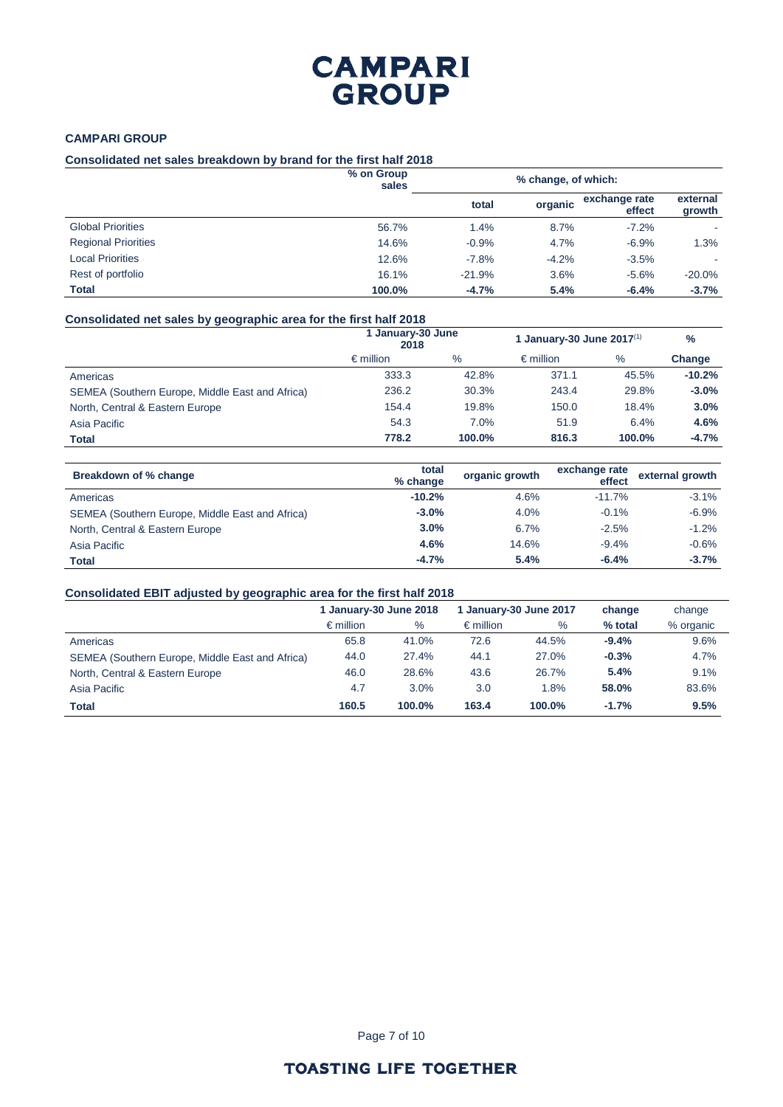### **CAMPARI GROUP**

#### **Consolidated net sales breakdown by brand for the first half 2018**

|                            | % on Group<br>sales | % change, of which: |         |                         |                    |
|----------------------------|---------------------|---------------------|---------|-------------------------|--------------------|
|                            |                     | total               | organic | exchange rate<br>effect | external<br>growth |
| <b>Global Priorities</b>   | 56.7%               | 1.4%                | 8.7%    | $-7.2%$                 |                    |
| <b>Regional Priorities</b> | 14.6%               | $-0.9%$             | 4.7%    | $-6.9%$                 | 1.3%               |
| <b>Local Priorities</b>    | 12.6%               | $-7.8%$             | $-4.2%$ | $-3.5%$                 |                    |
| Rest of portfolio          | 16.1%               | $-21.9%$            | 3.6%    | $-5.6%$                 | $-20.0%$           |
| Total                      | 100.0%              | $-4.7%$             | 5.4%    | $-6.4%$                 | $-3.7%$            |

### **Consolidated net sales by geographic area for the first half 2018**

|                                                 | <b>January-30 June</b><br>2018 |        | 1 January-30 June $2017^{(1)}$ |        | $\%$     |
|-------------------------------------------------|--------------------------------|--------|--------------------------------|--------|----------|
|                                                 | $\epsilon$ million             | $\%$   | $\epsilon$ million             | $\%$   | Change   |
| Americas                                        | 333.3                          | 42.8%  | 371.1                          | 45.5%  | $-10.2%$ |
| SEMEA (Southern Europe, Middle East and Africa) | 236.2                          | 30.3%  | 243.4                          | 29.8%  | $-3.0%$  |
| North, Central & Eastern Europe                 | 154.4                          | 19.8%  | 150.0                          | 18.4%  | 3.0%     |
| Asia Pacific                                    | 54.3                           | 7.0%   | 51.9                           | 6.4%   | 4.6%     |
| <b>Total</b>                                    | 778.2                          | 100.0% | 816.3                          | 100.0% | $-4.7%$  |

| Breakdown of % change                           | total<br>% change | organic growth | exchange rate<br>effect | external growth |
|-------------------------------------------------|-------------------|----------------|-------------------------|-----------------|
| Americas                                        | $-10.2%$          | 4.6%           | $-11.7%$                | $-3.1%$         |
| SEMEA (Southern Europe, Middle East and Africa) | $-3.0\%$          | 4.0%           | $-0.1%$                 | $-6.9%$         |
| North, Central & Eastern Europe                 | 3.0%              | 6.7%           | $-2.5%$                 | $-1.2%$         |
| Asia Pacific                                    | 4.6%              | 14.6%          | $-9.4%$                 | $-0.6%$         |
| Total                                           | $-4.7%$           | 5.4%           | $-6.4%$                 | $-3.7%$         |

### **Consolidated EBIT adjusted by geographic area for the first half 2018**

|                                                 | 1 January-30 June 2018 |        | 1 January-30 June 2017 |        | change  | change    |
|-------------------------------------------------|------------------------|--------|------------------------|--------|---------|-----------|
|                                                 | $\epsilon$ million     | $\%$   | $\epsilon$ million     | %      | % total | % organic |
| Americas                                        | 65.8                   | 41.0%  | 72.6                   | 44.5%  | $-9.4%$ | 9.6%      |
| SEMEA (Southern Europe, Middle East and Africa) | 44.0                   | 27.4%  | 44.1                   | 27.0%  | $-0.3%$ | 4.7%      |
| North, Central & Eastern Europe                 | 46.0                   | 28.6%  | 43.6                   | 26.7%  | 5.4%    | 9.1%      |
| Asia Pacific                                    | 4.7                    | 3.0%   | 3.0                    | 1.8%   | 58.0%   | 83.6%     |
| <b>Total</b>                                    | 160.5                  | 100.0% | 163.4                  | 100.0% | $-1.7%$ | 9.5%      |

Page 7 of 10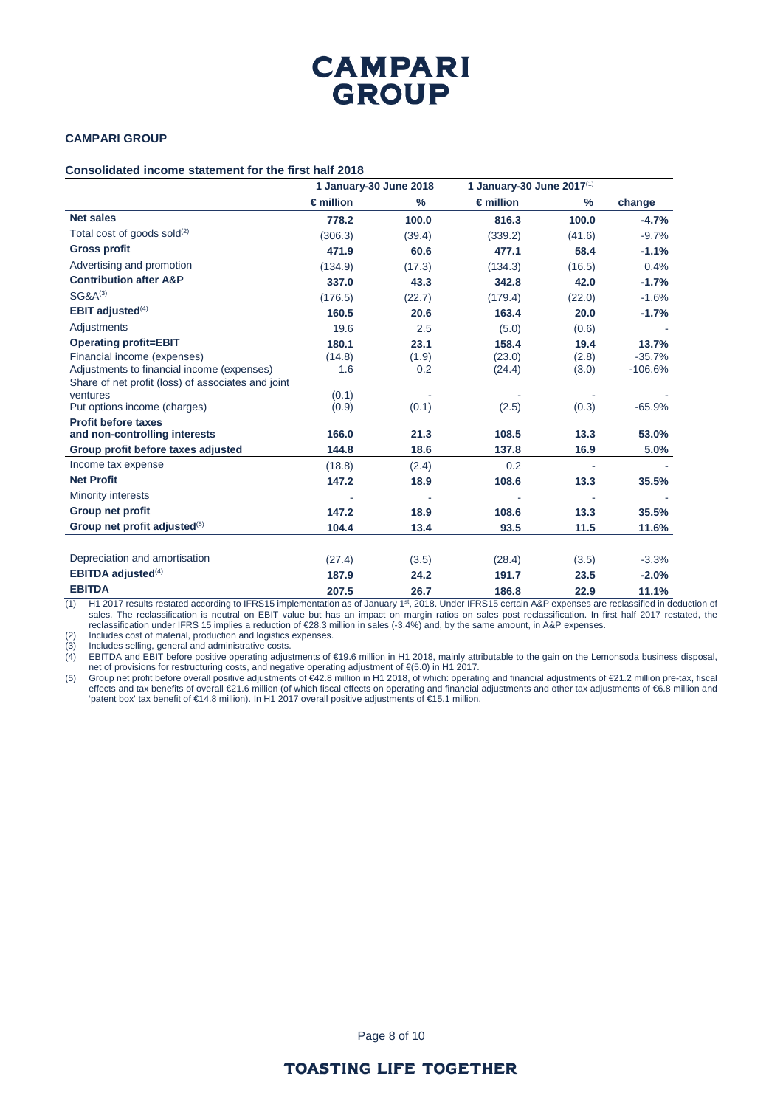### **CAMPARI GROUP**

#### **Consolidated income statement for the first half 2018**

|                                                                                                | 1 January-30 June 2018 |              | 1 January-30 June 2017(1) |                |                       |
|------------------------------------------------------------------------------------------------|------------------------|--------------|---------------------------|----------------|-----------------------|
|                                                                                                | $\epsilon$ million     | %            | $\epsilon$ million        | $\frac{9}{6}$  | change                |
| <b>Net sales</b>                                                                               | 778.2                  | 100.0        | 816.3                     | 100.0          | $-4.7%$               |
| Total cost of goods sold $(2)$                                                                 | (306.3)                | (39.4)       | (339.2)                   | (41.6)         | $-9.7%$               |
| <b>Gross profit</b>                                                                            | 471.9                  | 60.6         | 477.1                     | 58.4           | $-1.1%$               |
| Advertising and promotion                                                                      | (134.9)                | (17.3)       | (134.3)                   | (16.5)         | 0.4%                  |
| <b>Contribution after A&amp;P</b>                                                              | 337.0                  | 43.3         | 342.8                     | 42.0           | $-1.7%$               |
| $SG&A^{(3)}$                                                                                   | (176.5)                | (22.7)       | (179.4)                   | (22.0)         | $-1.6%$               |
| <b>EBIT adjusted</b> $(4)$                                                                     | 160.5                  | 20.6         | 163.4                     | 20.0           | $-1.7%$               |
| Adjustments                                                                                    | 19.6                   | 2.5          | (5.0)                     | (0.6)          |                       |
| <b>Operating profit=EBIT</b>                                                                   | 180.1                  | 23.1         | 158.4                     | 19.4           | 13.7%                 |
| Financial income (expenses)<br>Adjustments to financial income (expenses)                      | (14.8)<br>1.6          | (1.9)<br>0.2 | (23.0)<br>(24.4)          | (2.8)<br>(3.0) | $-35.7%$<br>$-106.6%$ |
| Share of net profit (loss) of associates and joint<br>ventures<br>Put options income (charges) | (0.1)<br>(0.9)         | (0.1)        | (2.5)                     | (0.3)          | $-65.9%$              |
| <b>Profit before taxes</b><br>and non-controlling interests                                    | 166.0                  | 21.3         | 108.5                     | 13.3           | 53.0%                 |
| Group profit before taxes adjusted                                                             | 144.8                  | 18.6         | 137.8                     | 16.9           | 5.0%                  |
| Income tax expense                                                                             | (18.8)                 | (2.4)        | 0.2                       |                |                       |
| <b>Net Profit</b>                                                                              | 147.2                  | 18.9         | 108.6                     | 13.3           | 35.5%                 |
| <b>Minority interests</b>                                                                      |                        |              |                           |                |                       |
| Group net profit                                                                               | 147.2                  | 18.9         | 108.6                     | 13.3           | 35.5%                 |
| Group net profit adjusted <sup>(5)</sup>                                                       | 104.4                  | 13.4         | 93.5                      | 11.5           | 11.6%                 |
| Depreciation and amortisation                                                                  | (27.4)                 | (3.5)        | (28.4)                    | (3.5)          | $-3.3%$               |
| <b>EBITDA</b> adjusted $(4)$                                                                   | 187.9                  | 24.2         | 191.7                     | 23.5           | $-2.0%$               |
| <b>EBITDA</b>                                                                                  | 207.5                  | 26.7         | 186.8                     | 22.9           | 11.1%                 |

(1) H1 2017 results restated according to IFRS15 implementation as of January 1st, 2018. Under IFRS15 certain A&P expenses are reclassified in deduction of sales. The reclassification is neutral on EBIT value but has an impact on margin ratios on sales post reclassification. In first half 2017 restated, the reclassification under IFRS 15 implies a reduction of €28.3 million in sales (-3.4%) and, by the same amount, in A&P expenses.

(2) Includes cost of material, production and logistics expenses.<br>(3) Includes selling, general and administrative costs.

(3) Includes selling, general and administrative costs.

(4) EBITDA and EBIT before positive operating adjustments of €19.6 million in H1 2018, mainly attributable to the gain on the Lemonsoda business disposal, net of provisions for restructuring costs, and negative operating adjustment of €(5.0) in H1 2017.

(5) Group net profit before overall positive adjustments of €42.8 million in H1 2018, of which: operating and financial adjustments of €21.2 million pre-tax, fiscal effects and tax benefits of overall €21.6 million (of which fiscal effects on operating and financial adjustments and other tax adjustments of €6.8 million and 'patent box' tax benefit of €14.8 million). In H1 2017 overall positive adjustments of €15.1 million.

Page 8 of 10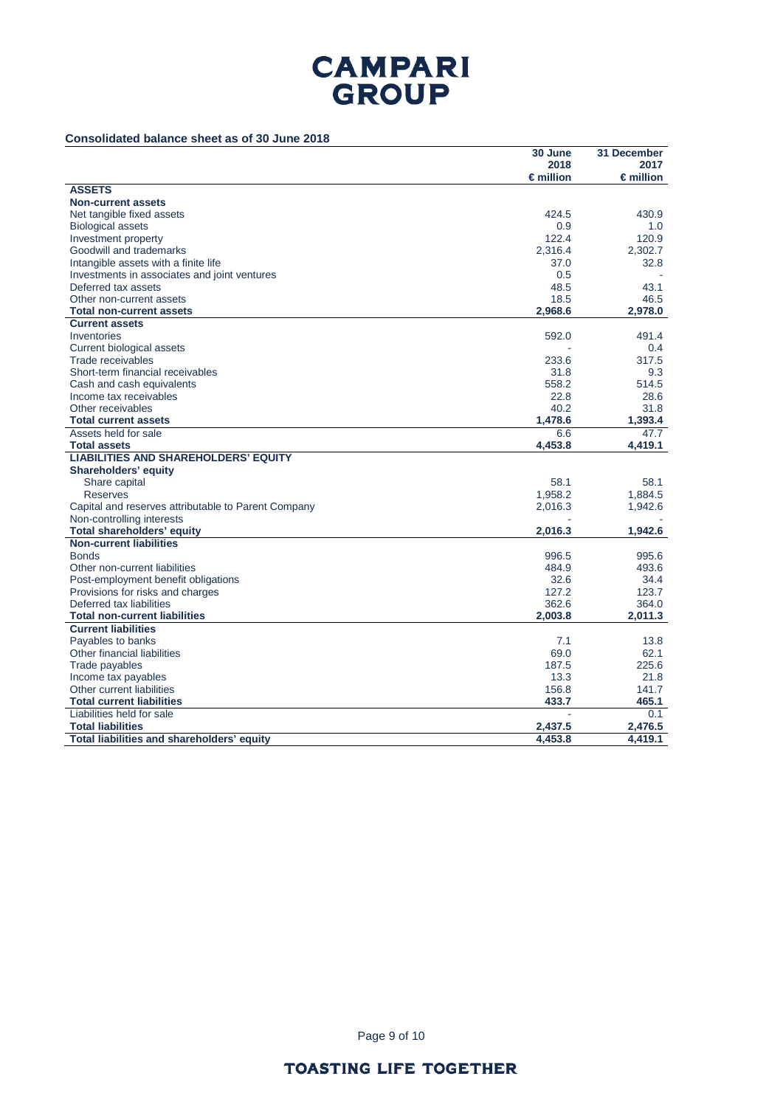### **Consolidated balance sheet as of 30 June 2018**

|                                                     | 30 June            | 31 December        |
|-----------------------------------------------------|--------------------|--------------------|
|                                                     | 2018               | 2017               |
|                                                     | $\epsilon$ million | $\epsilon$ million |
| <b>ASSETS</b>                                       |                    |                    |
| <b>Non-current assets</b>                           |                    |                    |
| Net tangible fixed assets                           | 424.5              | 430.9              |
| <b>Biological assets</b>                            | 0.9                | 1.0                |
| Investment property                                 | 122.4              | 120.9              |
| Goodwill and trademarks                             | 2,316.4            | 2,302.7            |
| Intangible assets with a finite life                | 37.0               | 32.8               |
| Investments in associates and joint ventures        | 0.5                |                    |
| Deferred tax assets                                 | 48.5               | 43.1               |
| Other non-current assets                            | 18.5               | 46.5               |
| <b>Total non-current assets</b>                     | 2,968.6            | 2,978.0            |
| <b>Current assets</b>                               |                    |                    |
| Inventories                                         | 592.0              | 491.4              |
| Current biological assets                           |                    | 0.4                |
| Trade receivables                                   | 233.6              | 317.5              |
| Short-term financial receivables                    | 31.8               | 9.3                |
| Cash and cash equivalents                           | 558.2              | 514.5              |
| Income tax receivables                              | 22.8               | 28.6               |
| Other receivables                                   | 40.2               | 31.8               |
| <b>Total current assets</b>                         | 1,478.6            | 1,393.4            |
| Assets held for sale                                | 6.6                | 47.7               |
| <b>Total assets</b>                                 | 4,453.8            | 4,419.1            |
| <b>LIABILITIES AND SHAREHOLDERS' EQUITY</b>         |                    |                    |
| <b>Shareholders' equity</b>                         |                    |                    |
| Share capital                                       | 58.1               | 58.1               |
| <b>Reserves</b>                                     | 1,958.2            | 1,884.5            |
| Capital and reserves attributable to Parent Company | 2,016.3            | 1,942.6            |
| Non-controlling interests                           |                    |                    |
| Total shareholders' equity                          | 2,016.3            | 1,942.6            |
| <b>Non-current liabilities</b>                      |                    |                    |
| <b>Bonds</b>                                        | 996.5              | 995.6              |
| Other non-current liabilities                       | 484.9              | 493.6              |
| Post-employment benefit obligations                 | 32.6               | 34.4               |
| Provisions for risks and charges                    | 127.2              | 123.7              |
| Deferred tax liabilities                            | 362.6              | 364.0              |
| <b>Total non-current liabilities</b>                | 2.003.8            | 2.011.3            |
| <b>Current liabilities</b>                          |                    |                    |
| Payables to banks                                   | 7.1                | 13.8               |
| Other financial liabilities                         | 69.0               | 62.1               |
| Trade payables                                      | 187.5              | 225.6              |
| Income tax payables                                 | 13.3               | 21.8               |
| Other current liabilities                           | 156.8              | 141.7              |
| <b>Total current liabilities</b>                    | 433.7              | 465.1              |
| Liabilities held for sale                           |                    | 0.1                |
| <b>Total liabilities</b>                            | 2,437.5            | 2,476.5            |
| Total liabilities and shareholders' equity          | 4,453.8            | 4,419.1            |

Page 9 of 10